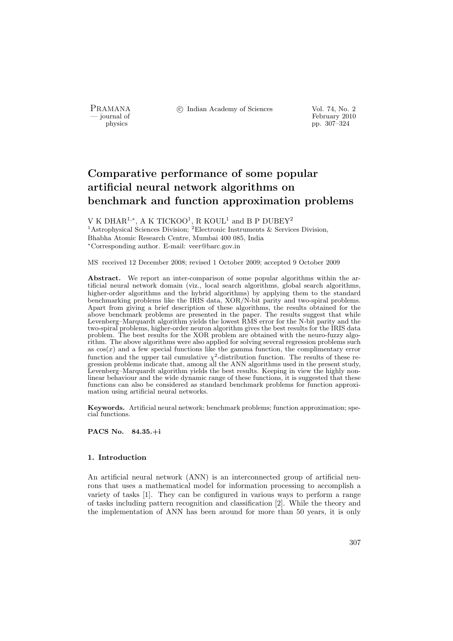PRAMANA °c Indian Academy of Sciences Vol. 74, No. 2

physics<br>
and the physics<br>
February 2010<br>
pp. 307–324 physics pp. 307–324

# Comparative performance of some popular artificial neural network algorithms on benchmark and function approximation problems

V K DHAR<sup>1,\*</sup>, A K TICKOO<sup>1</sup>, R KOUL<sup>1</sup> and B P DUBEY<sup>2</sup> <sup>1</sup>Astrophysical Sciences Division; <sup>2</sup>Electronic Instruments & Services Division, Bhabha Atomic Research Centre, Mumbai 400 085, India <sup>∗</sup>Corresponding author. E-mail: veer@barc.gov.in

MS received 12 December 2008; revised 1 October 2009; accepted 9 October 2009

Abstract. We report an inter-comparison of some popular algorithms within the artificial neural network domain (viz., local search algorithms, global search algorithms, higher-order algorithms and the hybrid algorithms) by applying them to the standard benchmarking problems like the IRIS data, XOR/N-bit parity and two-spiral problems. Apart from giving a brief description of these algorithms, the results obtained for the above benchmark problems are presented in the paper. The results suggest that while Levenberg–Marquardt algorithm yields the lowest RMS error for the N-bit parity and the two-spiral problems, higher-order neuron algorithm gives the best results for the IRIS data problem. The best results for the XOR problem are obtained with the neuro-fuzzy algorithm. The above algorithms were also applied for solving several regression problems such as  $cos(x)$  and a few special functions like the gamma function, the complimentary error function and the upper tail cumulative  $\chi^2$ -distribution function. The results of these regression problems indicate that, among all the ANN algorithms used in the present study, Levenberg–Marquardt algorithm yields the best results. Keeping in view the highly nonlinear behaviour and the wide dynamic range of these functions, it is suggested that these functions can also be considered as standard benchmark problems for function approximation using artificial neural networks.

Keywords. Artificial neural network; benchmark problems; function approximation; special functions.

PACS No. 84.35.+i

## 1. Introduction

An artificial neural network (ANN) is an interconnected group of artificial neurons that uses a mathematical model for information processing to accomplish a variety of tasks [1]. They can be configured in various ways to perform a range of tasks including pattern recognition and classification [2]. While the theory and the implementation of ANN has been around for more than 50 years, it is only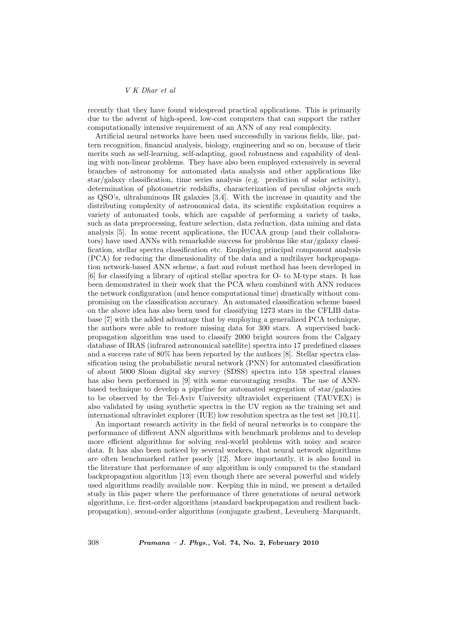recently that they have found widespread practical applications. This is primarily due to the advent of high-speed, low-cost computers that can support the rather computationally intensive requirement of an ANN of any real complexity.

Artificial neural networks have been used successfully in various fields, like, pattern recognition, financial analysis, biology, engineering and so on, because of their merits such as self-learning, self-adapting, good robustness and capability of dealing with non-linear problems. They have also been employed extensively in several branches of astronomy for automated data analysis and other applications like star/galaxy classification, time series analysis (e.g. prediction of solar activity), determination of photometric redshifts, characterization of peculiar objects such as QSO's, ultraluminous IR galaxies [3,4]. With the increase in quantity and the distributing complexity of astronomical data, its scientific exploitation requires a variety of automated tools, which are capable of performing a variety of tasks, such as data preprocessing, feature selection, data reduction, data mining and data analysis [5]. In some recent applications, the IUCAA group (and their collaborators) have used ANNs with remarkable success for problems like star/galaxy classification, stellar spectra classification etc. Employing principal component analysis (PCA) for reducing the dimensionality of the data and a multilayer backpropagation network-based ANN scheme, a fast and robust method has been developed in [6] for classifying a library of optical stellar spectra for O- to M-type stars. It has been demonstrated in their work that the PCA when combined with ANN reduces the network configuration (and hence computational time) drastically without compromising on the classification accuracy. An automated classification scheme based on the above idea has also been used for classifying 1273 stars in the CFLIB database [7] with the added advantage that by employing a generalized PCA technique, the authors were able to restore missing data for 300 stars. A supervised backpropagation algorithm was used to classify 2000 bright sources from the Calgary database of IRAS (infrared astronomical satellite) spectra into 17 predefined classes and a success rate of 80% has been reported by the authors [8]. Stellar spectra classification using the probabilistic neural network (PNN) for automated classification of about 5000 Sloan digital sky survey (SDSS) spectra into 158 spectral classes has also been performed in [9] with some encouraging results. The use of ANNbased technique to develop a pipeline for automated segregation of star/galaxies to be observed by the Tel-Aviv University ultraviolet experiment (TAUVEX) is also validated by using synthetic spectra in the UV region as the training set and international ultraviolet explorer (IUE) low resolution spectra as the test set [10,11].

An important research activity in the field of neural networks is to compare the performance of different ANN algorithms with benchmark problems and to develop more efficient algorithms for solving real-world problems with noisy and scarce data. It has also been noticed by several workers, that neural network algorithms are often benchmarked rather poorly [12]. More importantly, it is also found in the literature that performance of any algorithm is only compared to the standard backpropagation algorithm [13] even though there are several powerful and widely used algorithms readily available now. Keeping this in mind, we present a detailed study in this paper where the performance of three generations of neural network algorithms, i.e. first-order algorithms (standard backpropagation and resilient backpropagation), second-order algorithms (conjugate gradient, Levenberg–Marquardt,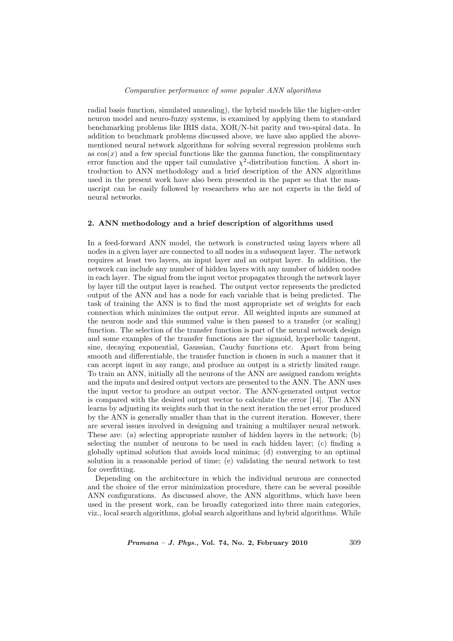radial basis function, simulated annealing), the hybrid models like the higher-order neuron model and neuro-fuzzy systems, is examined by applying them to standard benchmarking problems like IRIS data, XOR/N-bit parity and two-spiral data. In addition to benchmark problems discussed above, we have also applied the abovementioned neural network algorithms for solving several regression problems such as  $cos(x)$  and a few special functions like the gamma function, the complimentary error function and the upper tail cumulative  $\chi^2$ -distribution function. A short introduction to ANN methodology and a brief description of the ANN algorithms used in the present work have also been presented in the paper so that the manuscript can be easily followed by researchers who are not experts in the field of neural networks.

## 2. ANN methodology and a brief description of algorithms used

In a feed-forward ANN model, the network is constructed using layers where all nodes in a given layer are connected to all nodes in a subsequent layer. The network requires at least two layers, an input layer and an output layer. In addition, the network can include any number of hidden layers with any number of hidden nodes in each layer. The signal from the input vector propagates through the network layer by layer till the output layer is reached. The output vector represents the predicted output of the ANN and has a node for each variable that is being predicted. The task of training the ANN is to find the most appropriate set of weights for each connection which minimizes the output error. All weighted inputs are summed at the neuron node and this summed value is then passed to a transfer (or scaling) function. The selection of the transfer function is part of the neural network design and some examples of the transfer functions are the sigmoid, hyperbolic tangent, sine, decaying exponential, Gaussian, Cauchy functions etc. Apart from being smooth and differentiable, the transfer function is chosen in such a manner that it can accept input in any range, and produce an output in a strictly limited range. To train an ANN, initially all the neurons of the ANN are assigned random weights and the inputs and desired output vectors are presented to the ANN. The ANN uses the input vector to produce an output vector. The ANN-generated output vector is compared with the desired output vector to calculate the error [14]. The ANN learns by adjusting its weights such that in the next iteration the net error produced by the ANN is generally smaller than that in the current iteration. However, there are several issues involved in designing and training a multilayer neural network. These are: (a) selecting appropriate number of hidden layers in the network; (b) selecting the number of neurons to be used in each hidden layer; (c) finding a globally optimal solution that avoids local minima; (d) converging to an optimal solution in a reasonable period of time; (e) validating the neural network to test for overfitting.

Depending on the architecture in which the individual neurons are connected and the choice of the error minimization procedure, there can be several possible ANN configurations. As discussed above, the ANN algorithms, which have been used in the present work, can be broadly categorized into three main categories, viz., local search algorithms, global search algorithms and hybrid algorithms. While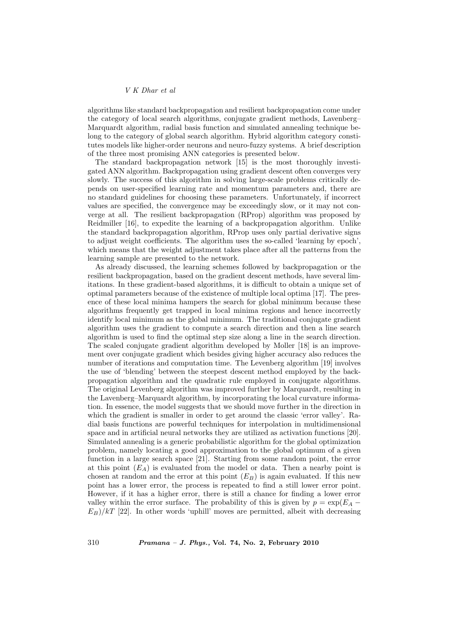algorithms like standard backpropagation and resilient backpropagation come under the category of local search algorithms, conjugate gradient methods, Lavenberg– Marquardt algorithm, radial basis function and simulated annealing technique belong to the category of global search algorithm. Hybrid algorithm category constitutes models like higher-order neurons and neuro-fuzzy systems. A brief description of the three most promising ANN categories is presented below.

The standard backpropagation network [15] is the most thoroughly investigated ANN algorithm. Backpropagation using gradient descent often converges very slowly. The success of this algorithm in solving large-scale problems critically depends on user-specified learning rate and momentum parameters and, there are no standard guidelines for choosing these parameters. Unfortunately, if incorrect values are specified, the convergence may be exceedingly slow, or it may not converge at all. The resilient backpropagation (RProp) algorithm was proposed by Reidmiller [16], to expedite the learning of a backpropagation algorithm. Unlike the standard backpropagation algorithm, RProp uses only partial derivative signs to adjust weight coefficients. The algorithm uses the so-called 'learning by epoch', which means that the weight adjustment takes place after all the patterns from the learning sample are presented to the network.

As already discussed, the learning schemes followed by backpropagation or the resilient backpropagation, based on the gradient descent methods, have several limitations. In these gradient-based algorithms, it is difficult to obtain a unique set of optimal parameters because of the existence of multiple local optima [17]. The presence of these local minima hampers the search for global minimum because these algorithms frequently get trapped in local minima regions and hence incorrectly identify local minimum as the global minimum. The traditional conjugate gradient algorithm uses the gradient to compute a search direction and then a line search algorithm is used to find the optimal step size along a line in the search direction. The scaled conjugate gradient algorithm developed by Moller [18] is an improvement over conjugate gradient which besides giving higher accuracy also reduces the number of iterations and computation time. The Levenberg algorithm [19] involves the use of 'blending' between the steepest descent method employed by the backpropagation algorithm and the quadratic rule employed in conjugate algorithms. The original Levenberg algorithm was improved further by Marquardt, resulting in the Lavenberg–Marquardt algorithm, by incorporating the local curvature information. In essence, the model suggests that we should move further in the direction in which the gradient is smaller in order to get around the classic 'error valley'. Radial basis functions are powerful techniques for interpolation in multidimensional space and in artificial neural networks they are utilized as activation functions [20]. Simulated annealing is a generic probabilistic algorithm for the global optimization problem, namely locating a good approximation to the global optimum of a given function in a large search space [21]. Starting from some random point, the error at this point  $(E_A)$  is evaluated from the model or data. Then a nearby point is chosen at random and the error at this point  $(E_B)$  is again evaluated. If this new point has a lower error, the process is repeated to find a still lower error point. However, if it has a higher error, there is still a chance for finding a lower error valley within the error surface. The probability of this is given by  $p = \exp(E_A E_B)/kT$  [22]. In other words 'uphill' moves are permitted, albeit with decreasing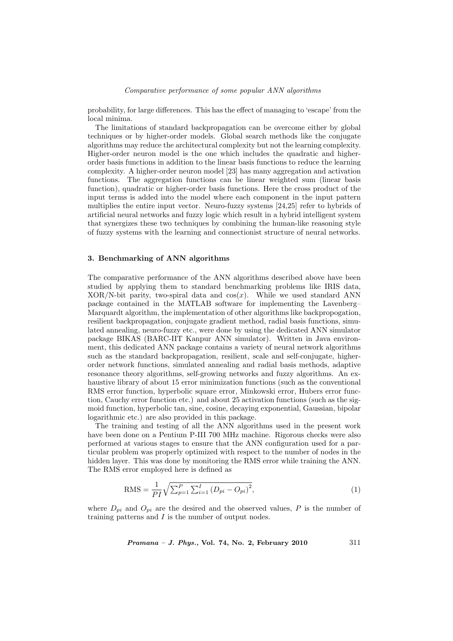probability, for large differences. This has the effect of managing to 'escape' from the local minima.

The limitations of standard backpropagation can be overcome either by global techniques or by higher-order models. Global search methods like the conjugate algorithms may reduce the architectural complexity but not the learning complexity. Higher-order neuron model is the one which includes the quadratic and higherorder basis functions in addition to the linear basis functions to reduce the learning complexity. A higher-order neuron model [23] has many aggregation and activation functions. The aggregation functions can be linear weighted sum (linear basis function), quadratic or higher-order basis functions. Here the cross product of the input terms is added into the model where each component in the input pattern multiplies the entire input vector. Neuro-fuzzy systems [24,25] refer to hybrids of artificial neural networks and fuzzy logic which result in a hybrid intelligent system that synergizes these two techniques by combining the human-like reasoning style of fuzzy systems with the learning and connectionist structure of neural networks.

#### 3. Benchmarking of ANN algorithms

The comparative performance of the ANN algorithms described above have been studied by applying them to standard benchmarking problems like IRIS data,  $XOR/N$ -bit parity, two-spiral data and  $cos(x)$ . While we used standard ANN package contained in the MATLAB software for implementing the Lavenberg– Marquardt algorithm, the implementation of other algorithms like backpropogation, resilient backpropagation, conjugate gradient method, radial basis functions, simulated annealing, neuro-fuzzy etc., were done by using the dedicated ANN simulator package BIKAS (BARC-IIT Kanpur ANN simulator). Written in Java environment, this dedicated ANN package contains a variety of neural network algorithms such as the standard backpropagation, resilient, scale and self-conjugate, higherorder network functions, simulated annealing and radial basis methods, adaptive resonance theory algorithms, self-growing networks and fuzzy algorithms. An exhaustive library of about 15 error minimization functions (such as the conventional RMS error function, hyperbolic square error, Minkowski error, Hubers error function, Cauchy error function etc.) and about 25 activation functions (such as the sigmoid function, hyperbolic tan, sine, cosine, decaying exponential, Gaussian, bipolar logarithmic etc.) are also provided in this package.

The training and testing of all the ANN algorithms used in the present work have been done on a Pentium P-III 700 MHz machine. Rigorous checks were also performed at various stages to ensure that the ANN configuration used for a particular problem was properly optimized with respect to the number of nodes in the hidden layer. This was done by monitoring the RMS error while training the ANN. The RMS error employed here is defined as

RMS = 
$$
\frac{1}{PI} \sqrt{\sum_{p=1}^{P} \sum_{i=1}^{I} (D_{pi} - O_{pi})^{2}},
$$
 (1)

where  $D_{pi}$  and  $O_{pi}$  are the desired and the observed values, P is the number of training patterns and I is the number of output nodes.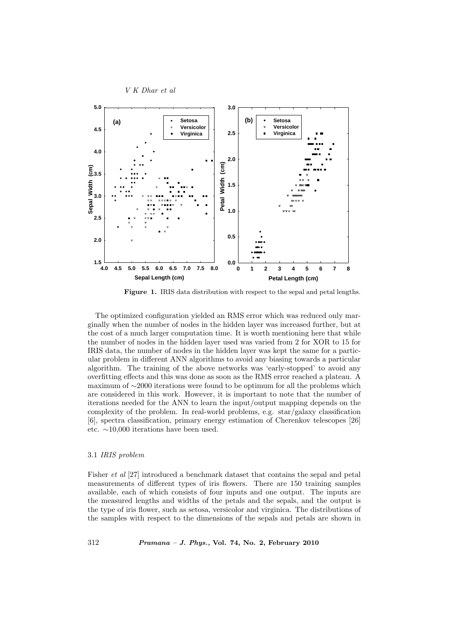

Figure 1. IRIS data distribution with respect to the sepal and petal lengths.

The optimized configuration yielded an RMS error which was reduced only marginally when the number of nodes in the hidden layer was increased further, but at the cost of a much larger computation time. It is worth mentioning here that while the number of nodes in the hidden layer used was varied from 2 for XOR to 15 for IRIS data, the number of nodes in the hidden layer was kept the same for a particular problem in different ANN algorithms to avoid any biasing towards a particular algorithm. The training of the above networks was 'early-stopped' to avoid any overfitting effects and this was done as soon as the RMS error reached a plateau. A maximum of ∼2000 iterations were found to be optimum for all the problems which are considered in this work. However, it is important to note that the number of iterations needed for the ANN to learn the input/output mapping depends on the complexity of the problem. In real-world problems, e.g. star/galaxy classification [6], spectra classification, primary energy estimation of Cherenkov telescopes [26] etc. ∼10,000 iterations have been used.

# 3.1 IRIS problem

Fisher et al [27] introduced a benchmark dataset that contains the sepal and petal measurements of different types of iris flowers. There are 150 training samples available, each of which consists of four inputs and one output. The inputs are the measured lengths and widths of the petals and the sepals, and the output is the type of iris flower, such as setosa, versicolor and virginica. The distributions of the samples with respect to the dimensions of the sepals and petals are shown in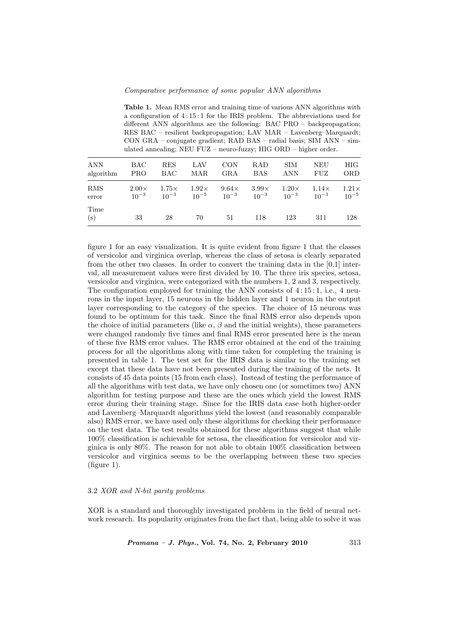Table 1. Mean RMS error and training time of various ANN algorithms with a configuration of 4 : 15 : 1 for the IRIS problem. The abbreviations used for different ANN algorithms are the following: BAC PRO – backpropagation; RES BAC – resilient backpropagation; LAV MAR – Lavenberg–Marquardt; CON GRA – conjugate gradient; RAD BAS – radial basis; SIM ANN – simulated annealing; NEU FUZ – neuro-fuzzy; HIG ORD – higher order.

| <b>ANN</b>        | BAC          | <b>RES</b>   | LAV          | <b>CON</b>   | RAD          | <b>SIM</b>   | NEU          | НIG          |
|-------------------|--------------|--------------|--------------|--------------|--------------|--------------|--------------|--------------|
| algorithm         | <b>PRO</b>   | BAC          | <b>MAR</b>   | GRA          | <b>BAS</b>   | <b>ANN</b>   | FUZ          | <b>ORD</b>   |
| RMS               | $2.00\times$ | $1.75\times$ | $1.92\times$ | $9.64\times$ | $3.99\times$ | $1.20\times$ | $1.14\times$ | $1.21\times$ |
| error             | $10^{-3}$    | $10^{-3}$    | $10^{-5}$    | $10^{-3}$    | $10^{-3}$    | $10^{-3}$    | $10^{-3}$    | $10^{-5}$    |
| Time<br>$(\rm s)$ | 33           | 28           | 70           | 51           | 118          | 123          | 311          | 128          |

figure 1 for an easy visualization. It is quite evident from figure 1 that the classes of versicolor and virginica overlap, whereas the class of setosa is clearly separated from the other two classes. In order to convert the training data in the [0,1] interval, all measurement values were first divided by 10. The three iris species, setosa, versicolor and virginica, were categorized with the numbers 1, 2 and 3, respectively. The configuration employed for training the ANN consists of  $4:15:1$ , i.e.,  $4$  neurons in the input layer, 15 neurons in the hidden layer and 1 neuron in the output layer corresponding to the category of the species. The choice of 15 neurons was found to be optimum for this task. Since the final RMS error also depends upon the choice of initial parameters (like  $\alpha$ ,  $\beta$  and the initial weights), these parameters were changed randomly five times and final RMS error presented here is the mean of these five RMS error values. The RMS error obtained at the end of the training process for all the algorithms along with time taken for completing the training is presented in table 1. The test set for the IRIS data is similar to the training set except that these data have not been presented during the training of the nets. It consists of 45 data points (15 from each class). Instead of testing the performance of all the algorithms with test data, we have only chosen one (or sometimes two) ANN algorithm for testing purpose and these are the ones which yield the lowest RMS error during their training stage. Since for the IRIS data case both higher-order and Lavenberg–Marquardt algorithms yield the lowest (and reasonably comparable also) RMS error, we have used only these algorithms for checking their performance on the test data. The test results obtained for these algorithms suggest that while 100% classification is achievable for setosa, the classification for versicolor and virginica is only 80%. The reason for not able to obtain 100% classification between versicolor and virginica seems to be the overlapping between these two species (figure 1).

#### 3.2 XOR and N-bit parity problems

XOR is a standard and thoroughly investigated problem in the field of neural network research. Its popularity originates from the fact that, being able to solve it was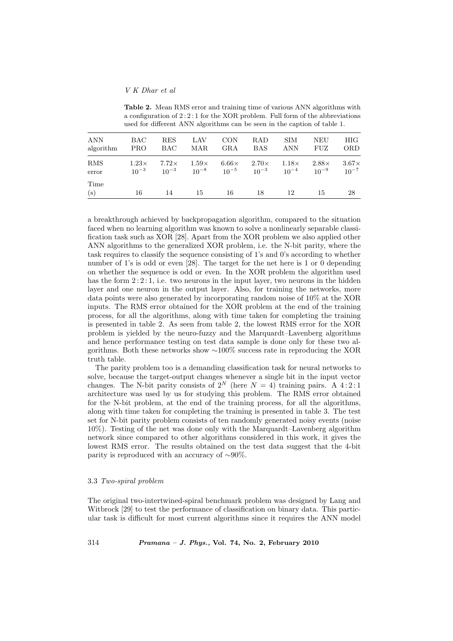Table 2. Mean RMS error and training time of various ANN algorithms with a configuration of 2 : 2 : 1 for the XOR problem. Full form of the abbreviations used for different ANN algorithms can be seen in the caption of table 1.

| <b>ANN</b>  | BAC          | RES          | LAV          | <b>CON</b>   | <b>RAD</b>   | <b>SIM</b>   | <b>NEU</b>   | НIG          |
|-------------|--------------|--------------|--------------|--------------|--------------|--------------|--------------|--------------|
| algorithm   | <b>PRO</b>   | BAC          | MAR          | GRA          | <b>BAS</b>   | ANN          | FUZ          | ORD          |
| <b>RMS</b>  | $1.23\times$ | $7.72\times$ | $1.59\times$ | $6.66\times$ | $2.70\times$ | $1.18\times$ | $2.88\times$ | $3.67\times$ |
| error       | $10^{-3}$    | $10^{-3}$    | $10^{-8}$    | $10^{-5}$    | $10^{-3}$    | $10^{-4}$    | $10^{-9}$    | $10^{-7}$    |
| Time<br>(s) | 16           | 14           | 15           | 16           | 18           | 12           | 15           | 28           |

a breakthrough achieved by backpropagation algorithm, compared to the situation faced when no learning algorithm was known to solve a nonlinearly separable classification task such as XOR [28]. Apart from the XOR problem we also applied other ANN algorithms to the generalized XOR problem, i.e. the N-bit parity, where the task requires to classify the sequence consisting of 1's and 0's according to whether number of 1's is odd or even [28]. The target for the net here is 1 or 0 depending on whether the sequence is odd or even. In the XOR problem the algorithm used has the form  $2:2:1$ , i.e. two neurons in the input layer, two neurons in the hidden layer and one neuron in the output layer. Also, for training the networks, more data points were also generated by incorporating random noise of 10% at the XOR inputs. The RMS error obtained for the XOR problem at the end of the training process, for all the algorithms, along with time taken for completing the training is presented in table 2. As seen from table 2, the lowest RMS error for the XOR problem is yielded by the neuro-fuzzy and the Marquardt–Lavenberg algorithms and hence performance testing on test data sample is done only for these two algorithms. Both these networks show ∼100% success rate in reproducing the XOR truth table.

The parity problem too is a demanding classification task for neural networks to solve, because the target-output changes whenever a single bit in the input vector changes. The N-bit parity consists of  $2^N$  (here  $N = 4$ ) training pairs. A 4:2:1 architecture was used by us for studying this problem. The RMS error obtained for the N-bit problem, at the end of the training process, for all the algorithms, along with time taken for completing the training is presented in table 3. The test set for N-bit parity problem consists of ten randomly generated noisy events (noise 10%). Testing of the net was done only with the Marquardt–Lavenberg algorithm network since compared to other algorithms considered in this work, it gives the lowest RMS error. The results obtained on the test data suggest that the 4-bit parity is reproduced with an accuracy of ∼90%.

# 3.3 Two-spiral problem

The original two-intertwined-spiral benchmark problem was designed by Lang and Witbrock [29] to test the performance of classification on binary data. This particular task is difficult for most current algorithms since it requires the ANN model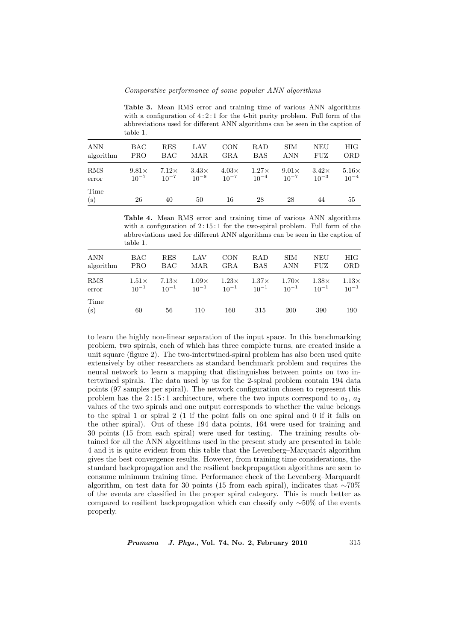Table 3. Mean RMS error and training time of various ANN algorithms with a configuration of  $4:2:1$  for the 4-bit parity problem. Full form of the abbreviations used for different ANN algorithms can be seen in the caption of table 1.

| ANN               | BAC          | RES          | LAV          | <b>CON</b>   | <b>RAD</b>   | <b>SIM</b>   | <b>NEU</b>   | НIG          |
|-------------------|--------------|--------------|--------------|--------------|--------------|--------------|--------------|--------------|
| algorithm         | <b>PRO</b>   | BAC          | MAR          | GRA          | BAS          | ANN          | FUZ          | <b>ORD</b>   |
| <b>RMS</b>        | $9.81\times$ | $7.12\times$ | $3.43\times$ | $4.03\times$ | $1.27\times$ | $9.01\times$ | $3.42\times$ | $5.16\times$ |
| error             | $10^{-7}$    | $10^{-7}$    | $10^{-8}$    | $10^{-7}$    | $10^{-4}$    | $10^{-7}$    | $10^{-3}$    | $10^{-4}$    |
| Time<br>$(\rm s)$ | 26           | 40           | 50           | 16           | 28           | 28           | 44           | 55           |

Table 4. Mean RMS error and training time of various ANN algorithms with a configuration of  $2:15:1$  for the two-spiral problem. Full form of the abbreviations used for different ANN algorithms can be seen in the caption of table 1.

| ANN         | BAC          | <b>RES</b>   | LAV          | <b>CON</b>   | <b>RAD</b>   | <b>SIM</b>   | <b>NEU</b>   | HIG-         |
|-------------|--------------|--------------|--------------|--------------|--------------|--------------|--------------|--------------|
| algorithm   | <b>PRO</b>   | BAC          | MAR          | GRA          | <b>BAS</b>   | <b>ANN</b>   | FUZ          | <b>ORD</b>   |
| RMS         | $1.51\times$ | $7.13\times$ | $1.09\times$ | $1.23\times$ | $1.37\times$ | $1.70\times$ | $1.38\times$ | $1.13\times$ |
| error       | $10^{-1}$    | $10^{-1}$    | $10^{-1}$    | $10^{-1}$    | $10^{-1}$    | $10^{-1}$    | $10^{-1}$    | $10^{-1}$    |
| Time<br>(s) | 60           | 56           | 110          | 160          | 315          | 200          | 390          | 190          |

to learn the highly non-linear separation of the input space. In this benchmarking problem, two spirals, each of which has three complete turns, are created inside a unit square (figure 2). The two-intertwined-spiral problem has also been used quite extensively by other researchers as standard benchmark problem and requires the neural network to learn a mapping that distinguishes between points on two intertwined spirals. The data used by us for the 2-spiral problem contain 194 data points (97 samples per spiral). The network configuration chosen to represent this problem has the  $2:15:1$  architecture, where the two inputs correspond to  $a_1, a_2$ values of the two spirals and one output corresponds to whether the value belongs to the spiral 1 or spiral 2 (1 if the point falls on one spiral and 0 if it falls on the other spiral). Out of these 194 data points, 164 were used for training and 30 points (15 from each spiral) were used for testing. The training results obtained for all the ANN algorithms used in the present study are presented in table 4 and it is quite evident from this table that the Levenberg–Marquardt algorithm gives the best convergence results. However, from training time considerations, the standard backpropagation and the resilient backpropagation algorithms are seen to consume minimum training time. Performance check of the Levenberg–Marquardt algorithm, on test data for 30 points (15 from each spiral), indicates that ∼70% of the events are classified in the proper spiral category. This is much better as compared to resilient backpropagation which can classify only ∼50% of the events properly.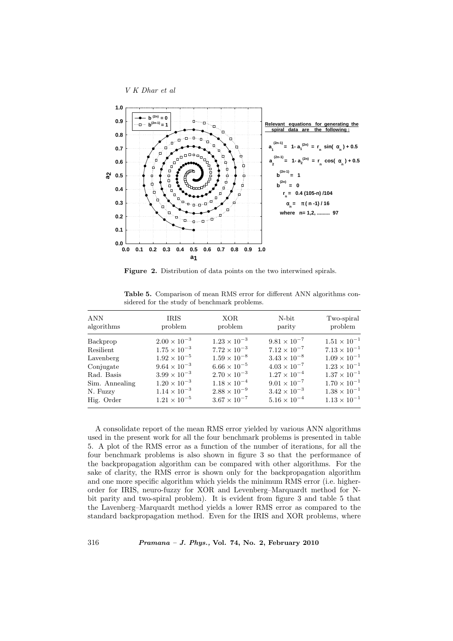

Figure 2. Distribution of data points on the two interwined spirals.

Table 5. Comparison of mean RMS error for different ANN algorithms considered for the study of benchmark problems.

| ANN<br>algorithms | <b>IRIS</b><br>problem | XOR<br>problem        | N-bit<br>parity       | Two-spiral<br>problem |
|-------------------|------------------------|-----------------------|-----------------------|-----------------------|
| Backprop          | $2.00 \times 10^{-3}$  | $1.23 \times 10^{-3}$ | $9.81 \times 10^{-7}$ | $1.51 \times 10^{-1}$ |
| Resilient         | $1.75 \times 10^{-3}$  | $7.72 \times 10^{-3}$ | $7.12 \times 10^{-7}$ | $7.13 \times 10^{-1}$ |
| Lavenberg         | $1.92 \times 10^{-5}$  | $1.59 \times 10^{-8}$ | $3.43 \times 10^{-8}$ | $1.09 \times 10^{-1}$ |
| Conjugate         | $9.64 \times 10^{-3}$  | $6.66 \times 10^{-5}$ | $4.03 \times 10^{-7}$ | $1.23 \times 10^{-1}$ |
| Rad. Basis        | $3.99 \times 10^{-3}$  | $2.70 \times 10^{-3}$ | $1.27 \times 10^{-4}$ | $1.37 \times 10^{-1}$ |
| Sim. Annealing    | $1.20 \times 10^{-3}$  | $1.18 \times 10^{-4}$ | $9.01 \times 10^{-7}$ | $1.70 \times 10^{-1}$ |
| N. Fuzzy          | $1.14 \times 10^{-3}$  | $2.88 \times 10^{-9}$ | $3.42 \times 10^{-3}$ | $1.38 \times 10^{-1}$ |
| Hig. Order        | $1.21 \times 10^{-5}$  | $3.67 \times 10^{-7}$ | $5.16 \times 10^{-4}$ | $1.13 \times 10^{-1}$ |

A consolidate report of the mean RMS error yielded by various ANN algorithms used in the present work for all the four benchmark problems is presented in table 5. A plot of the RMS error as a function of the number of iterations, for all the four benchmark problems is also shown in figure 3 so that the performance of the backpropagation algorithm can be compared with other algorithms. For the sake of clarity, the RMS error is shown only for the backpropagation algorithm and one more specific algorithm which yields the minimum RMS error (i.e. higherorder for IRIS, neuro-fuzzy for XOR and Levenberg–Marquardt method for Nbit parity and two-spiral problem). It is evident from figure 3 and table 5 that the Lavenberg–Marquardt method yields a lower RMS error as compared to the standard backpropagation method. Even for the IRIS and XOR problems, where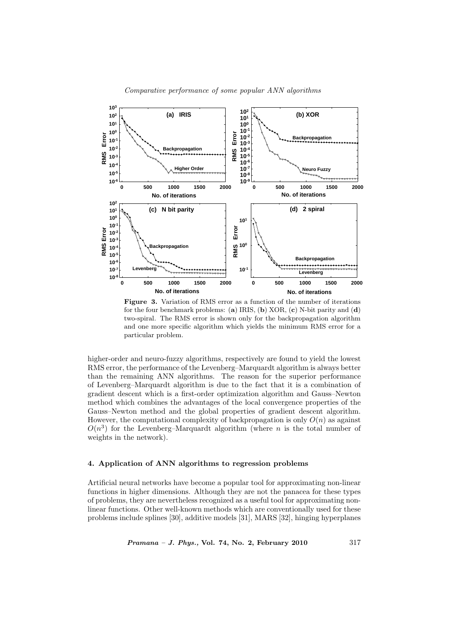

Comparative performance of some popular ANN algorithms

Figure 3. Variation of RMS error as a function of the number of iterations for the four benchmark problems: (a) IRIS, (b) XOR, (c) N-bit parity and (d) two-spiral. The RMS error is shown only for the backpropagation algorithm and one more specific algorithm which yields the minimum RMS error for a particular problem.

higher-order and neuro-fuzzy algorithms, respectively are found to yield the lowest RMS error, the performance of the Levenberg–Marquardt algorithm is always better than the remaining ANN algorithms. The reason for the superior performance of Levenberg–Marquardt algorithm is due to the fact that it is a combination of gradient descent which is a first-order optimization algorithm and Gauss–Newton method which combines the advantages of the local convergence properties of the Gauss–Newton method and the global properties of gradient descent algorithm. However, the computational complexity of backpropagation is only  $O(n)$  as against  $O(n^3)$  for the Levenberg–Marquardt algorithm (where *n* is the total number of weights in the network).

#### 4. Application of ANN algorithms to regression problems

Artificial neural networks have become a popular tool for approximating non-linear functions in higher dimensions. Although they are not the panacea for these types of problems, they are nevertheless recognized as a useful tool for approximating nonlinear functions. Other well-known methods which are conventionally used for these problems include splines [30], additive models [31], MARS [32], hinging hyperplanes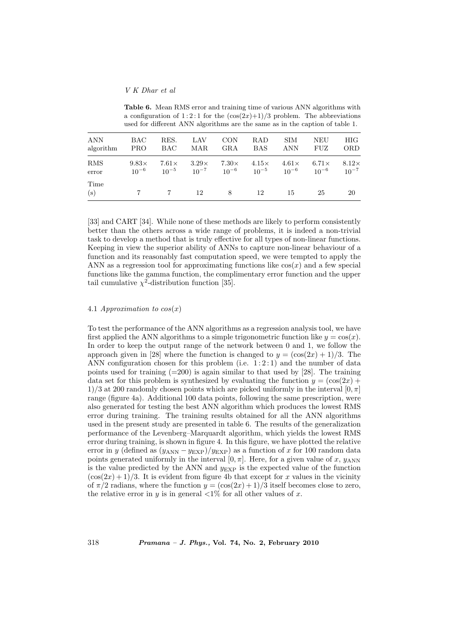Table 6. Mean RMS error and training time of various ANN algorithms with a configuration of  $1:2:1$  for the  $(\cos(2x)+1)/3$  problem. The abbreviations used for different ANN algorithms are the same as in the caption of table 1.

| <b>ANN</b>  | BAC          | RES.         | LAV          | <b>CON</b>   | <b>RAD</b>   | <b>SIM</b>   | <b>NEU</b>   | НIG          |
|-------------|--------------|--------------|--------------|--------------|--------------|--------------|--------------|--------------|
| algorithm   | <b>PRO</b>   | <b>BAC</b>   | MAR          | <b>GRA</b>   | <b>BAS</b>   | <b>ANN</b>   | FUZ          | <b>ORD</b>   |
| RMS         | $9.83\times$ | $7.61\times$ | $3.29\times$ | $7.30\times$ | $4.15\times$ | $4.61\times$ | $6.71\times$ | $8.12\times$ |
| error       | $10^{-6}$    | $10^{-5}$    | $10^{-7}$    | $10^{-6}$    | $10^{-5}$    | $10^{-6}$    | $10^{-6}$    | $10^{-7}$    |
| Time<br>(s) |              |              | 12           | 8            | 12           | 15           | 25           | 20           |

[33] and CART [34]. While none of these methods are likely to perform consistently better than the others across a wide range of problems, it is indeed a non-trivial task to develop a method that is truly effective for all types of non-linear functions. Keeping in view the superior ability of ANNs to capture non-linear behaviour of a function and its reasonably fast computation speed, we were tempted to apply the ANN as a regression tool for approximating functions like  $cos(x)$  and a few special functions like the gamma function, the complimentary error function and the upper tail cumulative  $\chi^2$ -distribution function [35].

#### 4.1 Approximation to  $cos(x)$

To test the performance of the ANN algorithms as a regression analysis tool, we have first applied the ANN algorithms to a simple trigonometric function like  $y = cos(x)$ . In order to keep the output range of the network between 0 and 1, we follow the approach given in [28] where the function is changed to  $y = (\cos(2x) + 1)/3$ . The ANN configuration chosen for this problem (i.e.  $1:2:1$ ) and the number of data points used for training  $(=200)$  is again similar to that used by [28]. The training data set for this problem is synthesized by evaluating the function  $y = (\cos(2x) +$ 1)/3 at 200 randomly chosen points which are picked uniformly in the interval  $[0, \pi]$ range (figure 4a). Additional 100 data points, following the same prescription, were also generated for testing the best ANN algorithm which produces the lowest RMS error during training. The training results obtained for all the ANN algorithms used in the present study are presented in table 6. The results of the generalization performance of the Levenberg–Marquardt algorithm, which yields the lowest RMS error during training, is shown in figure 4. In this figure, we have plotted the relative error in y (defined as  $(y_{\rm ANN} - y_{\rm EXP})/y_{\rm EXP}$ ) as a function of x for 100 random data points generated uniformly in the interval  $[0, \pi]$ . Here, for a given value of x,  $y_{\text{ANN}}$ is the value predicted by the ANN and  $y_{\text{EXP}}$  is the expected value of the function  $(\cos(2x) + 1)/3$ . It is evident from figure 4b that except for x values in the vicinity of  $\pi/2$  radians, where the function  $y = (\cos(2x) + 1)/3$  itself becomes close to zero, the relative error in y is in general  $\langle 1 \rangle$  for all other values of x.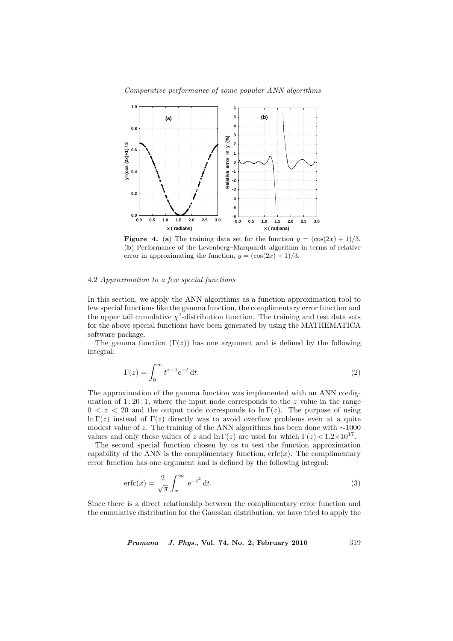Comparative performance of some popular ANN algorithms



**Figure 4.** (a) The training data set for the function  $y = (\cos(2x) + 1)/3$ . (b) Performance of the Levenberg–Marquardt algorithm in terms of relative error in approximating the function,  $y = (\cos(2x) + 1)/3$ .

#### 4.2 Approximation to a few special functions

In this section, we apply the ANN algorithms as a function approximation tool to few special functions like the gamma function, the complimentary error function and the upper tail cumulative  $\chi^2$ -distribution function. The training and test data sets for the above special functions have been generated by using the MATHEMATICA software package.

The gamma function  $(\Gamma(z))$  has one argument and is defined by the following integral:

$$
\Gamma(z) = \int_0^\infty t^{z-1} e^{-t} dt.
$$
\n(2)

The approximation of the gamma function was implemented with an ANN configuration of  $1:20:1$ , where the input node corresponds to the z value in the range  $0 < z < 20$  and the output node corresponds to  $\ln \Gamma(z)$ . The purpose of using  $\ln \Gamma(z)$  instead of  $\Gamma(z)$  directly was to avoid overflow problems even at a quite modest value of z. The training of the ANN algorithms has been done with ∼1000 values and only those values of z and  $\ln \Gamma(z)$  are used for which  $\Gamma(z) < 1.2 \times 10^{17}$ .

The second special function chosen by us to test the function approximation capability of the ANN is the complimentary function,  $erfc(x)$ . The complimentary error function has one argument and is defined by the following integral:

$$
\operatorname{erfc}(x) = \frac{2}{\sqrt{\pi}} \int_x^{\infty} e^{-t^2} dt.
$$
 (3)

Since there is a direct relationship between the complimentary error function and the cumulative distribution for the Gaussian distribution, we have tried to apply the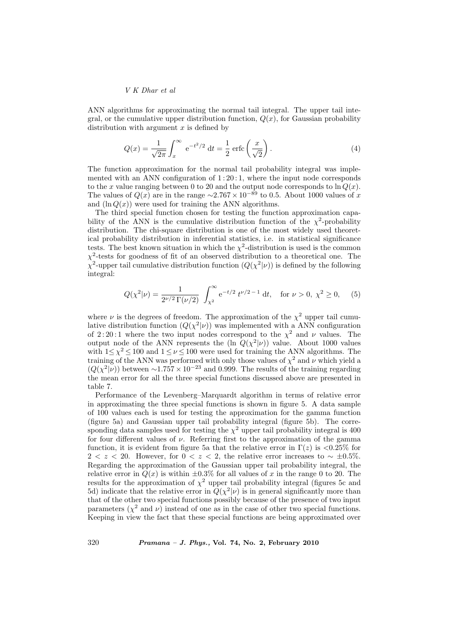ANN algorithms for approximating the normal tail integral. The upper tail integral, or the cumulative upper distribution function,  $Q(x)$ , for Gaussian probability distribution with argument  $x$  is defined by

$$
Q(x) = \frac{1}{\sqrt{2\pi}} \int_{x}^{\infty} e^{-t^2/2} dt = \frac{1}{2} \operatorname{erfc}\left(\frac{x}{\sqrt{2}}\right).
$$
 (4)

The function approximation for the normal tail probability integral was implemented with an ANN configuration of  $1:20:1$ , where the input node corresponds to the x value ranging between 0 to 20 and the output node corresponds to  $\ln Q(x)$ . The values of  $Q(x)$  are in the range ~2.767 × 10<sup>-89</sup> to 0.5. About 1000 values of x and  $(\ln Q(x))$  were used for training the ANN algorithms.

The third special function chosen for testing the function approximation capability of the ANN is the cumulative distribution function of the  $\chi^2$ -probability distribution. The chi-square distribution is one of the most widely used theoretical probability distribution in inferential statistics, i.e. in statistical significance tests. The best known situation in which the  $\chi^2$ -distribution is used is the common  $\chi^2$ -tests for goodness of fit of an observed distribution to a theoretical one. The  $\chi^2$ -upper tail cumulative distribution function  $(Q(\chi^2|\nu))$  is defined by the following integral:

$$
Q(\chi^2|\nu) = \frac{1}{2^{\nu/2} \Gamma(\nu/2)} \int_{\chi^2}^{\infty} e^{-t/2} t^{\nu/2 - 1} dt, \text{ for } \nu > 0, \ \chi^2 \ge 0,
$$
 (5)

where  $\nu$  is the degrees of freedom. The approximation of the  $\chi^2$  upper tail cumulative distribution function  $(Q(\chi^2|\nu))$  was implemented with a ANN configuration of 2:20:1 where the two input nodes correspond to the  $\chi^2$  and  $\nu$  values. The output node of the ANN represents the  $(\ln Q(\chi^2|\nu))$  value. About 1000 values with  $1 \leq \chi^2 \leq 100$  and  $1 \leq \nu \leq 100$  were used for training the ANN algorithms. The training of the ANN was performed with only those values of  $\chi^2$  and  $\nu$  which yield a  $(Q(\chi^2|\nu))$  between ~1.757 × 10<sup>-23</sup> and 0.999. The results of the training regarding the mean error for all the three special functions discussed above are presented in table 7.

Performance of the Levenberg–Marquardt algorithm in terms of relative error in approximating the three special functions is shown in figure 5. A data sample of 100 values each is used for testing the approximation for the gamma function (figure 5a) and Gaussian upper tail probability integral (figure 5b). The corresponding data samples used for testing the  $\chi^2$  upper tail probability integral is 400 for four different values of  $\nu$ . Referring first to the approximation of the gamma function, it is evident from figure 5a that the relative error in  $\Gamma(z)$  is  $\langle 0.25\%$  for  $2 < z < 20$ . However, for  $0 < z < 2$ , the relative error increases to  $\sim \pm 0.5\%$ . Regarding the approximation of the Gaussian upper tail probability integral, the relative error in  $Q(x)$  is within  $\pm 0.3\%$  for all values of x in the range 0 to 20. The results for the approximation of  $\chi^2$  upper tail probability integral (figures 5c and 5d) indicate that the relative error in  $Q(\chi^2|\nu)$  is in general significantly more than that of the other two special functions possibly because of the presence of two input parameters  $(\chi^2$  and  $\nu)$  instead of one as in the case of other two special functions. Keeping in view the fact that these special functions are being approximated over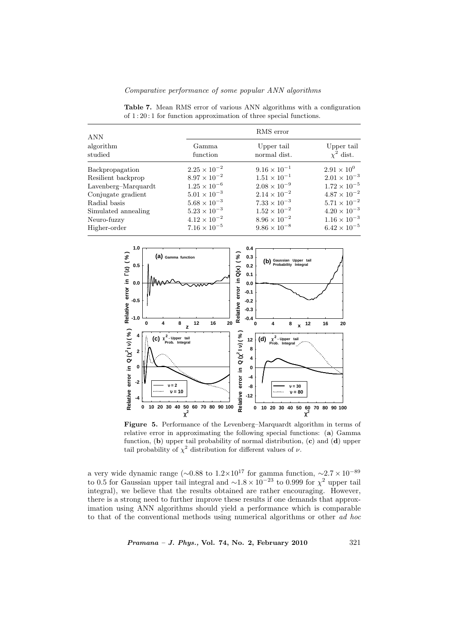Comparative performance of some popular ANN algorithms

| ANN                  | RMS error             |                            |                              |  |  |  |  |
|----------------------|-----------------------|----------------------------|------------------------------|--|--|--|--|
| algorithm<br>studied | Gamma<br>function     | Upper tail<br>normal dist. | Upper tail<br>$\chi^2$ dist. |  |  |  |  |
| Backpropagation      | $2.25 \times 10^{-2}$ | $9.16 \times 10^{-1}$      | $2.91 \times 10^{0}$         |  |  |  |  |
| Resilient backprop   | $8.97 \times 10^{-2}$ | $1.51 \times 10^{-1}$      | $2.01 \times 10^{-3}$        |  |  |  |  |
| Lavenberg-Marquardt  | $1.25 \times 10^{-6}$ | $2.08 \times 10^{-9}$      | $1.72 \times 10^{-5}$        |  |  |  |  |
| Conjugate gradient   | $5.01 \times 10^{-3}$ | $2.14 \times 10^{-2}$      | $4.87 \times 10^{-2}$        |  |  |  |  |
| Radial basis         | $5.68 \times 10^{-3}$ | $7.33 \times 10^{-3}$      | $5.71\times10^{-2}$          |  |  |  |  |
| Simulated annealing  | $5.23\times10^{-3}$   | $1.52 \times 10^{-2}$      | $4.20 \times 10^{-3}$        |  |  |  |  |
| Neuro-fuzzy          | $4.12 \times 10^{-2}$ | $8.96 \times 10^{-2}$      | $1.16 \times 10^{-3}$        |  |  |  |  |
| Higher-order         | $7.16 \times 10^{-5}$ | $9.86 \times 10^{-8}$      | $6.42 \times 10^{-5}$        |  |  |  |  |

Table 7. Mean RMS error of various ANN algorithms with a configuration of 1 : 20 : 1 for function approximation of three special functions.



Figure 5. Performance of the Levenberg–Marquardt algorithm in terms of relative error in approximating the following special functions: (a) Gamma function,  $(b)$  upper tail probability of normal distribution,  $(c)$  and  $(d)$  upper tail probability of  $\chi^2$  distribution for different values of  $\nu$ .

a very wide dynamic range ( $\sim$ 0.88 to 1.2×10<sup>17</sup> for gamma function,  $\sim$ 2.7 × 10<sup>-89</sup> to 0.5 for Gaussian upper tail integral and  $\sim$ 1.8 × 10<sup>-23</sup> to 0.999 for  $\chi^2$  upper tail integral), we believe that the results obtained are rather encouraging. However, there is a strong need to further improve these results if one demands that approximation using ANN algorithms should yield a performance which is comparable to that of the conventional methods using numerical algorithms or other ad hoc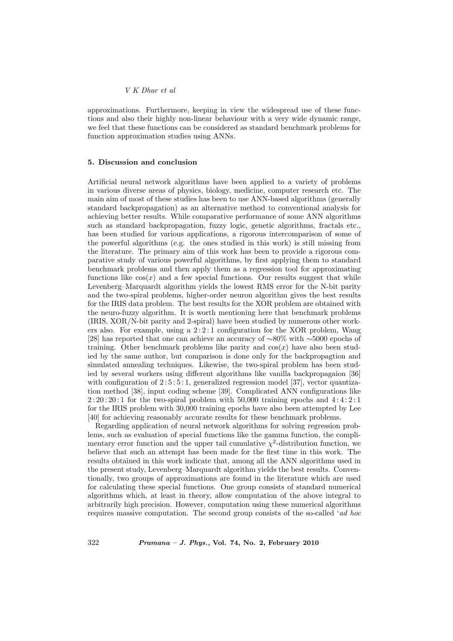approximations. Furthermore, keeping in view the widespread use of these functions and also their highly non-linear behaviour with a very wide dynamic range, we feel that these functions can be considered as standard benchmark problems for function approximation studies using ANNs.

## 5. Discussion and conclusion

Artificial neural network algorithms have been applied to a variety of problems in various diverse areas of physics, biology, medicine, computer research etc. The main aim of most of these studies has been to use ANN-based algorithms (generally standard backpropagation) as an alternative method to conventional analysis for achieving better results. While comparative performance of some ANN algorithms such as standard backpropagation, fuzzy logic, genetic algorithms, fractals etc., has been studied for various applications, a rigorous intercomparison of some of the powerful algorithms (e.g. the ones studied in this work) is still missing from the literature. The primary aim of this work has been to provide a rigorous comparative study of various powerful algorithms, by first applying them to standard benchmark problems and then apply them as a regression tool for approximating functions like  $cos(x)$  and a few special functions. Our results suggest that while Levenberg–Marquardt algorithm yields the lowest RMS error for the N-bit parity and the two-spiral problems, higher-order neuron algorithm gives the best results for the IRIS data problem. The best results for the XOR problem are obtained with the neuro-fuzzy algorithm. It is worth mentioning here that benchmark problems (IRIS, XOR/N-bit parity and 2-spiral) have been studied by numerous other workers also. For example, using a  $2:2:1$  configuration for the XOR problem, Wang [28] has reported that one can achieve an accuracy of ∼80% with ∼5000 epochs of training. Other benchmark problems like parity and  $cos(x)$  have also been studied by the same author, but comparison is done only for the backpropagtion and simulated annealing techniques. Likewise, the two-spiral problem has been studied by several workers using different algorithms like vanilla backpropagaion [36] with configuration of  $2:5:5:1$ , generalized regression model [37], vector quantization method [38], input coding scheme [39]. Complicated ANN configurations like  $2:20:20:1$  for the two-spiral problem with 50,000 training epochs and  $4:4:2:1$ for the IRIS problem with 30,000 training epochs have also been attempted by Lee [40] for achieving reasonably accurate results for these benchmark problems.

Regarding application of neural network algorithms for solving regression problems, such as evaluation of special functions like the gamma function, the complimentary error function and the upper tail cumulative  $\chi^2$ -distribution function, we believe that such an attempt has been made for the first time in this work. The results obtained in this work indicate that, among all the ANN algorithms used in the present study, Levenberg–Marquardt algorithm yields the best results. Conventionally, two groups of approximations are found in the literature which are used for calculating these special functions. One group consists of standard numerical algorithms which, at least in theory, allow computation of the above integral to arbitrarily high precision. However, computation using these numerical algorithms requires massive computation. The second group consists of the so-called 'ad hoc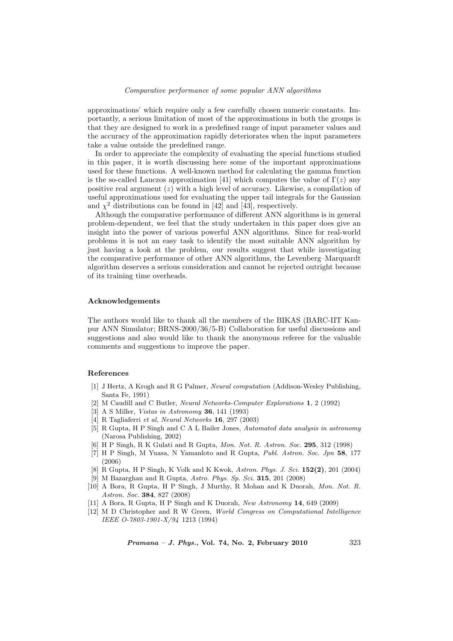approximations' which require only a few carefully chosen numeric constants. Importantly, a serious limitation of most of the approximations in both the groups is that they are designed to work in a predefined range of input parameter values and the accuracy of the approximation rapidly deteriorates when the input parameters take a value outside the predefined range.

In order to appreciate the complexity of evaluating the special functions studied in this paper, it is worth discussing here some of the important approximations used for these functions. A well-known method for calculating the gamma function is the so-called Lanczos approximation [41] which computes the value of  $\Gamma(z)$  any positive real argument  $(z)$  with a high level of accuracy. Likewise, a compilation of useful approximations used for evaluating the upper tail integrals for the Gaussian and  $\chi^2$  distributions can be found in [42] and [43], respectively.

Although the comparative performance of different ANN algorithms is in general problem-dependent, we feel that the study undertaken in this paper does give an insight into the power of various powerful ANN algorithms. Since for real-world problems it is not an easy task to identify the most suitable ANN algorithm by just having a look at the problem, our results suggest that while investigating the comparative performance of other ANN algorithms, the Levenberg–Marquardt algorithm deserves a serious consideration and cannot be rejected outright because of its training time overheads.

#### Acknowledgements

The authors would like to thank all the members of the BIKAS (BARC-IIT Kanpur ANN Simulator; BRNS-2000/36/5-B) Collaboration for useful discussions and suggestions and also would like to thank the anonymous referee for the valuable comments and suggestions to improve the paper.

#### References

- [1] J Hertz, A Krogh and R G Palmer, Neural computation (Addison-Wesley Publishing, Santa Fe, 1991)
- [2] M Caudill and C Butler, Neural Networks-Computer Explorations 1, 2 (1992)
- [3] A S Miller, Vistas in Astronomy 36, 141 (1993)
- [4] R Tagliaferri et al, Neural Networks 16, 297 (2003)
- [5] R Gupta, H P Singh and C A L Bailer Jones, Automated data analysis in astronomy (Narosa Publishing, 2002)
- [6] H P Singh, R K Gulati and R Gupta, Mon. Not. R. Astron. Soc. 295, 312 (1998)
- [7] H P Singh, M Yuasa, N Yamanloto and R Gupta, Publ. Astron. Soc. Jpn 58, 177 (2006)
- [8] R Gupta, H P Singh, K Volk and K Kwok, Astron. Phys. J. Sci. 152(2), 201 (2004)
- [9] M Bazarghan and R Gupta, Astro. Phys. Sp. Sci. 315, 201 (2008) [10] A Bora, R Gupta, H P Singh, J Murthy, R Mohan and K Duorah, Mon. Not. R.
- Astron. Soc. 384, 827 (2008)
- [11] A Bora, R Gupta, H P Singh and K Duorah, New Astronomy 14, 649 (2009)
- [12] M D Christopher and R W Green, World Congress on Computational Intelligence IEEE O-7803-1901-X/94 1213 (1994)